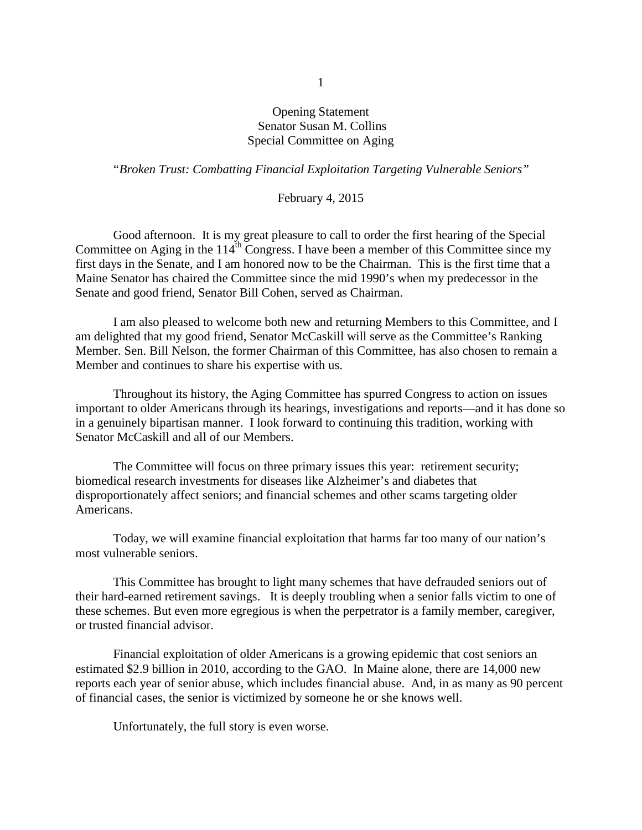## Opening Statement Senator Susan M. Collins Special Committee on Aging

## *"Broken Trust: Combatting Financial Exploitation Targeting Vulnerable Seniors"*

## February 4, 2015

Good afternoon. It is my great pleasure to call to order the first hearing of the Special Committee on Aging in the  $114^{th}$  Congress. I have been a member of this Committee since my first days in the Senate, and I am honored now to be the Chairman. This is the first time that a Maine Senator has chaired the Committee since the mid 1990's when my predecessor in the Senate and good friend, Senator Bill Cohen, served as Chairman.

I am also pleased to welcome both new and returning Members to this Committee, and I am delighted that my good friend, Senator McCaskill will serve as the Committee's Ranking Member. Sen. Bill Nelson, the former Chairman of this Committee, has also chosen to remain a Member and continues to share his expertise with us.

Throughout its history, the Aging Committee has spurred Congress to action on issues important to older Americans through its hearings, investigations and reports—and it has done so in a genuinely bipartisan manner. I look forward to continuing this tradition, working with Senator McCaskill and all of our Members.

The Committee will focus on three primary issues this year: retirement security; biomedical research investments for diseases like Alzheimer's and diabetes that disproportionately affect seniors; and financial schemes and other scams targeting older Americans.

Today, we will examine financial exploitation that harms far too many of our nation's most vulnerable seniors.

This Committee has brought to light many schemes that have defrauded seniors out of their hard-earned retirement savings. It is deeply troubling when a senior falls victim to one of these schemes. But even more egregious is when the perpetrator is a family member, caregiver, or trusted financial advisor.

Financial exploitation of older Americans is a growing epidemic that cost seniors an estimated \$2.9 billion in 2010, according to the GAO. In Maine alone, there are 14,000 new reports each year of senior abuse, which includes financial abuse. And, in as many as 90 percent of financial cases, the senior is victimized by someone he or she knows well.

Unfortunately, the full story is even worse.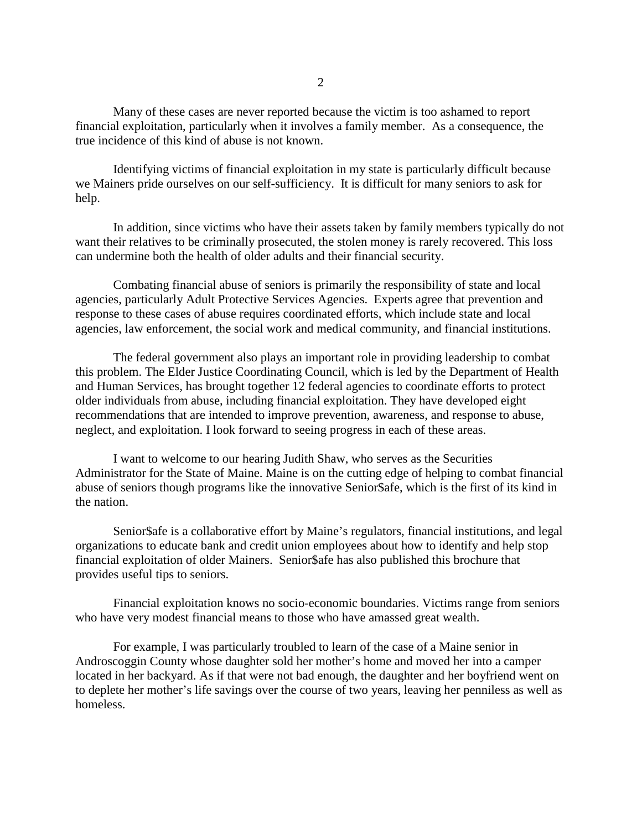Many of these cases are never reported because the victim is too ashamed to report financial exploitation, particularly when it involves a family member. As a consequence, the true incidence of this kind of abuse is not known.

Identifying victims of financial exploitation in my state is particularly difficult because we Mainers pride ourselves on our self-sufficiency. It is difficult for many seniors to ask for help.

In addition, since victims who have their assets taken by family members typically do not want their relatives to be criminally prosecuted, the stolen money is rarely recovered. This loss can undermine both the health of older adults and their financial security.

Combating financial abuse of seniors is primarily the responsibility of state and local agencies, particularly Adult Protective Services Agencies. Experts agree that prevention and response to these cases of abuse requires coordinated efforts, which include state and local agencies, law enforcement, the social work and medical community, and financial institutions.

The federal government also plays an important role in providing leadership to combat this problem. The Elder Justice Coordinating Council, which is led by the Department of Health and Human Services, has brought together 12 federal agencies to coordinate efforts to protect older individuals from abuse, including financial exploitation. They have developed eight recommendations that are intended to improve prevention, awareness, and response to abuse, neglect, and exploitation. I look forward to seeing progress in each of these areas.

I want to welcome to our hearing Judith Shaw, who serves as the Securities Administrator for the State of Maine. Maine is on the cutting edge of helping to combat financial abuse of seniors though programs like the innovative Senior\$afe, which is the first of its kind in the nation.

Senior\$afe is a collaborative effort by Maine's regulators, financial institutions, and legal organizations to educate bank and credit union employees about how to identify and help stop financial exploitation of older Mainers. Senior\$afe has also published this brochure that provides useful tips to seniors.

Financial exploitation knows no socio-economic boundaries. Victims range from seniors who have very modest financial means to those who have amassed great wealth.

For example, I was particularly troubled to learn of the case of a Maine senior in Androscoggin County whose daughter sold her mother's home and moved her into a camper located in her backyard. As if that were not bad enough, the daughter and her boyfriend went on to deplete her mother's life savings over the course of two years, leaving her penniless as well as homeless.